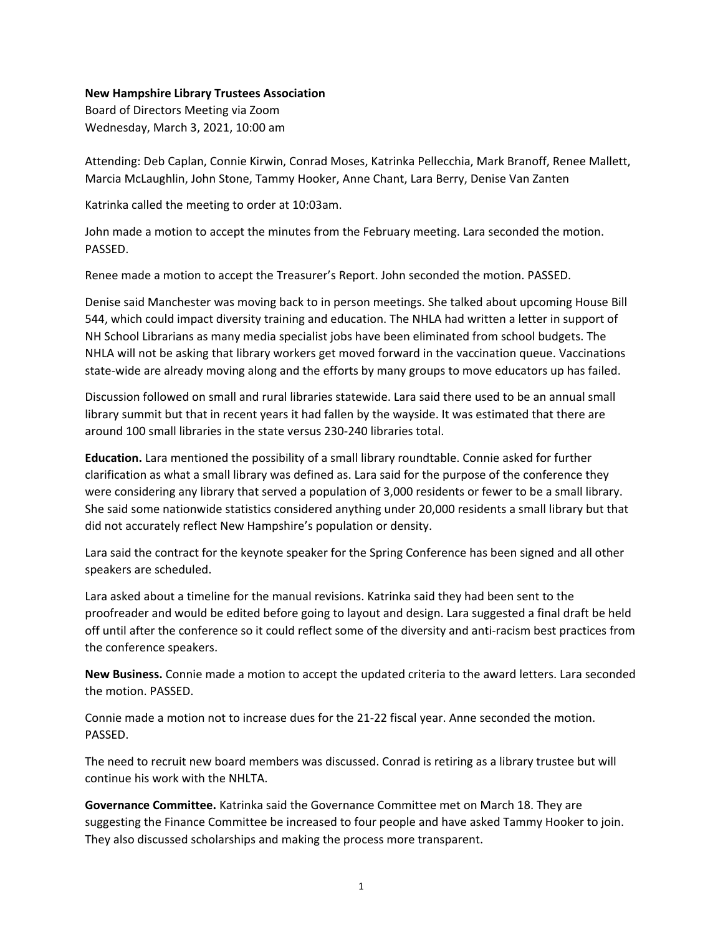## **New Hampshire Library Trustees Association**

Board of Directors Meeting via Zoom Wednesday, March 3, 2021, 10:00 am

Attending: Deb Caplan, Connie Kirwin, Conrad Moses, Katrinka Pellecchia, Mark Branoff, Renee Mallett, Marcia McLaughlin, John Stone, Tammy Hooker, Anne Chant, Lara Berry, Denise Van Zanten

Katrinka called the meeting to order at 10:03am.

John made a motion to accept the minutes from the February meeting. Lara seconded the motion. PASSED.

Renee made a motion to accept the Treasurer's Report. John seconded the motion. PASSED.

Denise said Manchester was moving back to in person meetings. She talked about upcoming House Bill 544, which could impact diversity training and education. The NHLA had written a letter in support of NH School Librarians as many media specialist jobs have been eliminated from school budgets. The NHLA will not be asking that library workers get moved forward in the vaccination queue. Vaccinations state-wide are already moving along and the efforts by many groups to move educators up has failed.

Discussion followed on small and rural libraries statewide. Lara said there used to be an annual small library summit but that in recent years it had fallen by the wayside. It was estimated that there are around 100 small libraries in the state versus 230-240 libraries total.

**Education.** Lara mentioned the possibility of a small library roundtable. Connie asked for further clarification as what a small library was defined as. Lara said for the purpose of the conference they were considering any library that served a population of 3,000 residents or fewer to be a small library. She said some nationwide statistics considered anything under 20,000 residents a small library but that did not accurately reflect New Hampshire's population or density.

Lara said the contract for the keynote speaker for the Spring Conference has been signed and all other speakers are scheduled.

Lara asked about a timeline for the manual revisions. Katrinka said they had been sent to the proofreader and would be edited before going to layout and design. Lara suggested a final draft be held off until after the conference so it could reflect some of the diversity and anti-racism best practices from the conference speakers.

**New Business.** Connie made a motion to accept the updated criteria to the award letters. Lara seconded the motion. PASSED.

Connie made a motion not to increase dues for the 21-22 fiscal year. Anne seconded the motion. PASSED.

The need to recruit new board members was discussed. Conrad is retiring as a library trustee but will continue his work with the NHLTA.

**Governance Committee.** Katrinka said the Governance Committee met on March 18. They are suggesting the Finance Committee be increased to four people and have asked Tammy Hooker to join. They also discussed scholarships and making the process more transparent.